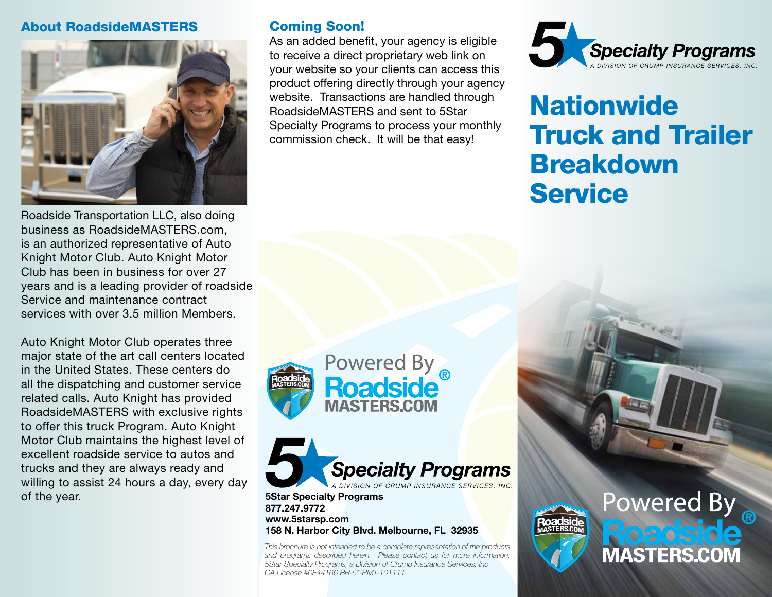#### About RoadsideMASTERS



Roadside Transportation LLC, also doing business as RoadsideMASTERS.com, is an authorized representative of Auto Knight Motor Club. Auto Knight Motor Club has been in business for over 27 years and is a leading provider of roadside Service and maintenance contract services with over 3.5 million Members.

Auto Knight Motor Club operates three major state of the art call centers located in the United States. These centers do all the dispatching and customer service related calls. Auto Knight has provided RoadsideMASTERS with exclusive rights to offer this truck Program. Auto Knight Motor Club maintains the highest level of excellent roadside service to autos and trucks and they are always ready and willing to assist 24 hours a day, every day of the year.

#### Coming Soon!

As an added benefit, your agency is eligible to receive a direct proprietary web link on your website so your clients can access this product offering directly through your agency website. Transactions are handled through RoadsideMASTERS and sent to 5Star Specialty Programs to process your monthly commission check. It will be that easy!



# **Nationwide** Truck and Trailer Breakdown **Service**





**5Star Specialty Programs 877.247.9772 www.5starsp.com 158 N. Harbor City Blvd. Melbourne, FL 32935** 

*This brochure is not intended to be a complete representation of the products and programs described herein. Please contact us for more information. 5Star Specialty Programs, a Division of Crump Insurance Services, Inc. CA License #0F44166 BR-5\*-RMT-101111*